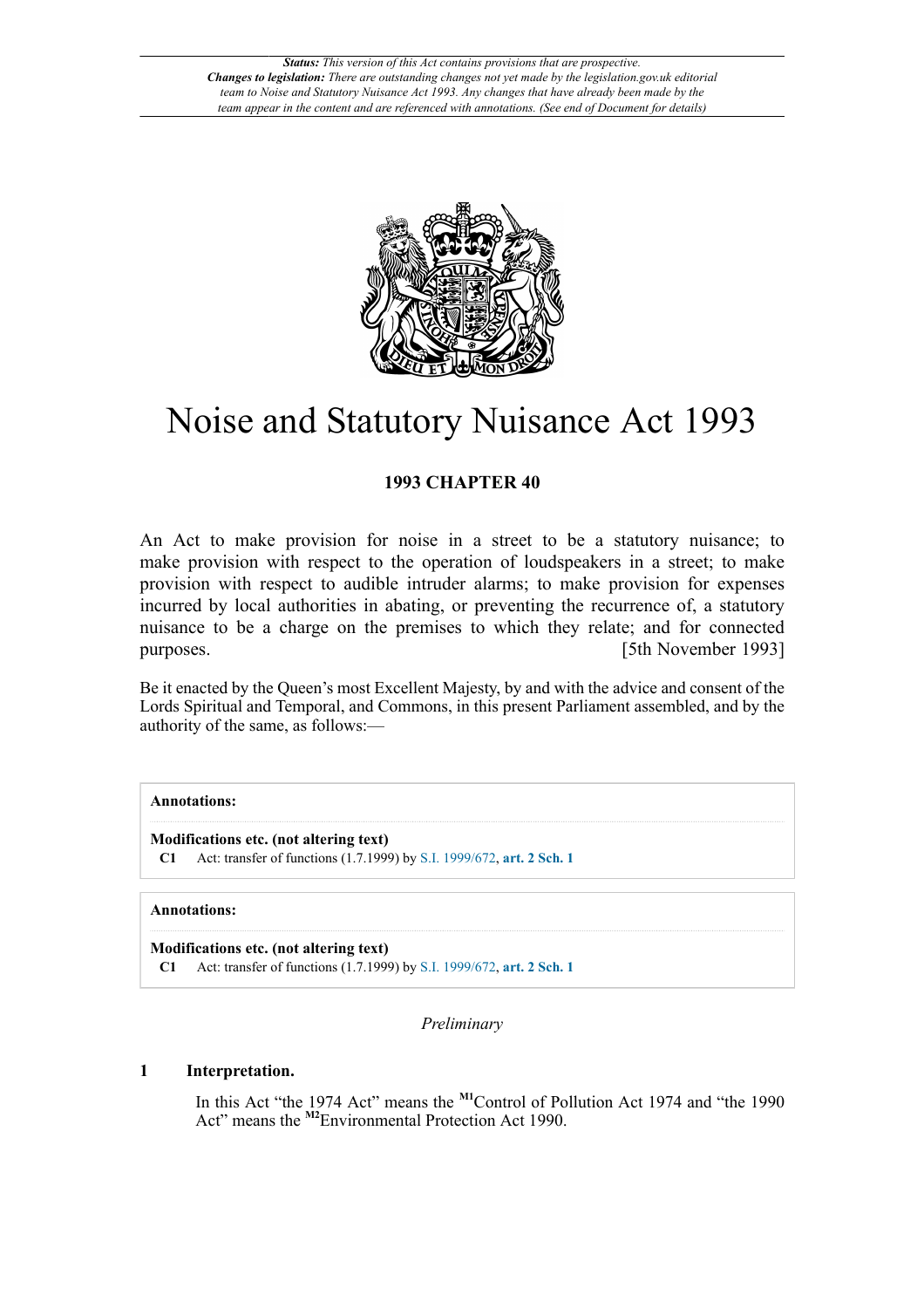

# Noise and Statutory Nuisance Act 1993

## **1993 CHAPTER 40**

An Act to make provision for noise in a street to be a statutory nuisance; to make provision with respect to the operation of loudspeakers in a street; to make provision with respect to audible intruder alarms; to make provision for expenses incurred by local authorities in abating, or preventing the recurrence of, a statutory nuisance to be a charge on the premises to which they relate; and for connected purposes. [5th November 1993]

Be it enacted by the Queen's most Excellent Majesty, by and with the advice and consent of the Lords Spiritual and Temporal, and Commons, in this present Parliament assembled, and by the authority of the same, as follows:—

## **Annotations:**

**Modifications etc. (not altering text)**

**C1** Act: transfer of functions (1.7.1999) by [S.I. 1999/672](http://www.legislation.gov.uk/id/uksi/1999/0672), **[art. 2 Sch. 1](http://www.legislation.gov.uk/id/uksi/1999/0672/article/2/schedule/1)**

## **Annotations:**

**Modifications etc. (not altering text) C1** Act: transfer of functions (1.7.1999) by [S.I. 1999/672](http://www.legislation.gov.uk/id/uksi/1999/0672), **[art. 2 Sch. 1](http://www.legislation.gov.uk/id/uksi/1999/0672/article/2/schedule/1)**

<span id="page-0-0"></span>*Preliminary*

## **1 Interpretation.**

<span id="page-0-1"></span>In this Act "the 1974 Act" means the **[M1](#page-1-0)**Control of Pollution Act 1974 and "the 1990 Act" means the <sup>[M2](#page-1-1)</sup>Environmental Protection Act 1990.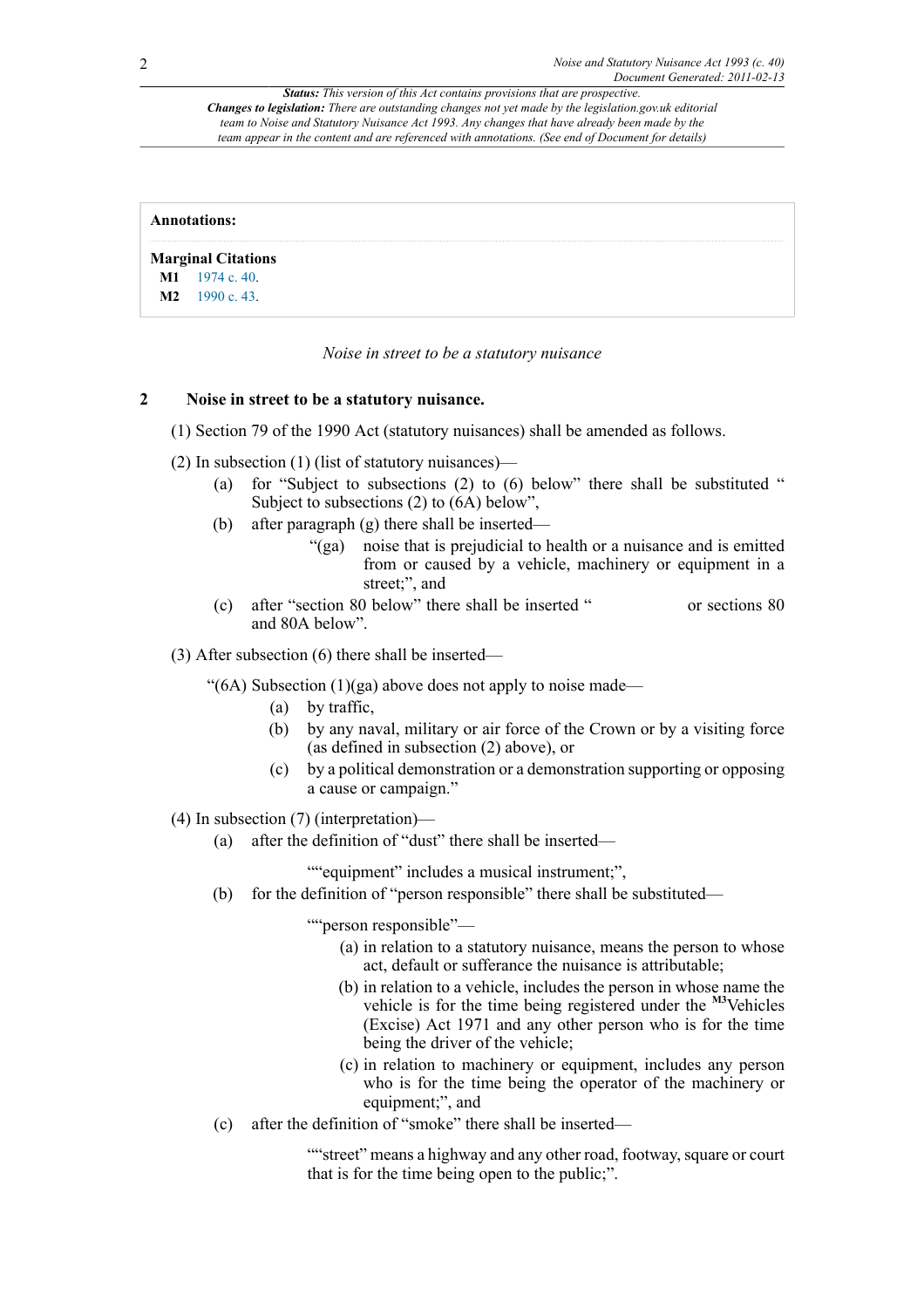<span id="page-1-1"></span><span id="page-1-0"></span>

| <b>Annotations:</b>       |  |
|---------------------------|--|
| <b>Marginal Citations</b> |  |
| $M1 \quad 1974$ c. 40.    |  |
| M2 1990 c. 43.            |  |

#### *Noise in street to be a statutory nuisance*

## **2 Noise in street to be a statutory nuisance.**

(1) Section 79 of the 1990 Act (statutory nuisances) shall be amended as follows.

(2) In subsection (1) (list of statutory nuisances)—

- (a) for "Subject to subsections (2) to (6) below" there shall be substituted " Subject to subsections (2) to (6A) below",
- (b) after paragraph (g) there shall be inserted—
	- "(ga) noise that is prejudicial to health or a nuisance and is emitted from or caused by a vehicle, machinery or equipment in a street;", and
- (c) after "section 80 below" there shall be inserted " or sections 80 and 80A below".

## (3) After subsection (6) there shall be inserted—

"(6A) Subsection  $(1)(ga)$  above does not apply to noise made—

- (a) by traffic,
- (b) by any naval, military or air force of the Crown or by a visiting force (as defined in subsection (2) above), or
- (c) by a political demonstration or a demonstration supporting or opposing a cause or campaign."

(4) In subsection (7) (interpretation)—

(a) after the definition of "dust" there shall be inserted—

""equipment" includes a musical instrument;",

(b) for the definition of "person responsible" there shall be substituted—

""person responsible"—

- (a) in relation to a statutory nuisance, means the person to whose act, default or sufferance the nuisance is attributable;
- <span id="page-1-2"></span>(b) in relation to a vehicle, includes the person in whose name the vehicle is for the time being registered under the **[M3](#page-2-0)**Vehicles (Excise) Act 1971 and any other person who is for the time being the driver of the vehicle;
- (c) in relation to machinery or equipment, includes any person who is for the time being the operator of the machinery or equipment;", and
- (c) after the definition of "smoke" there shall be inserted—

""street" means a highway and any other road, footway, square or court that is for the time being open to the public;".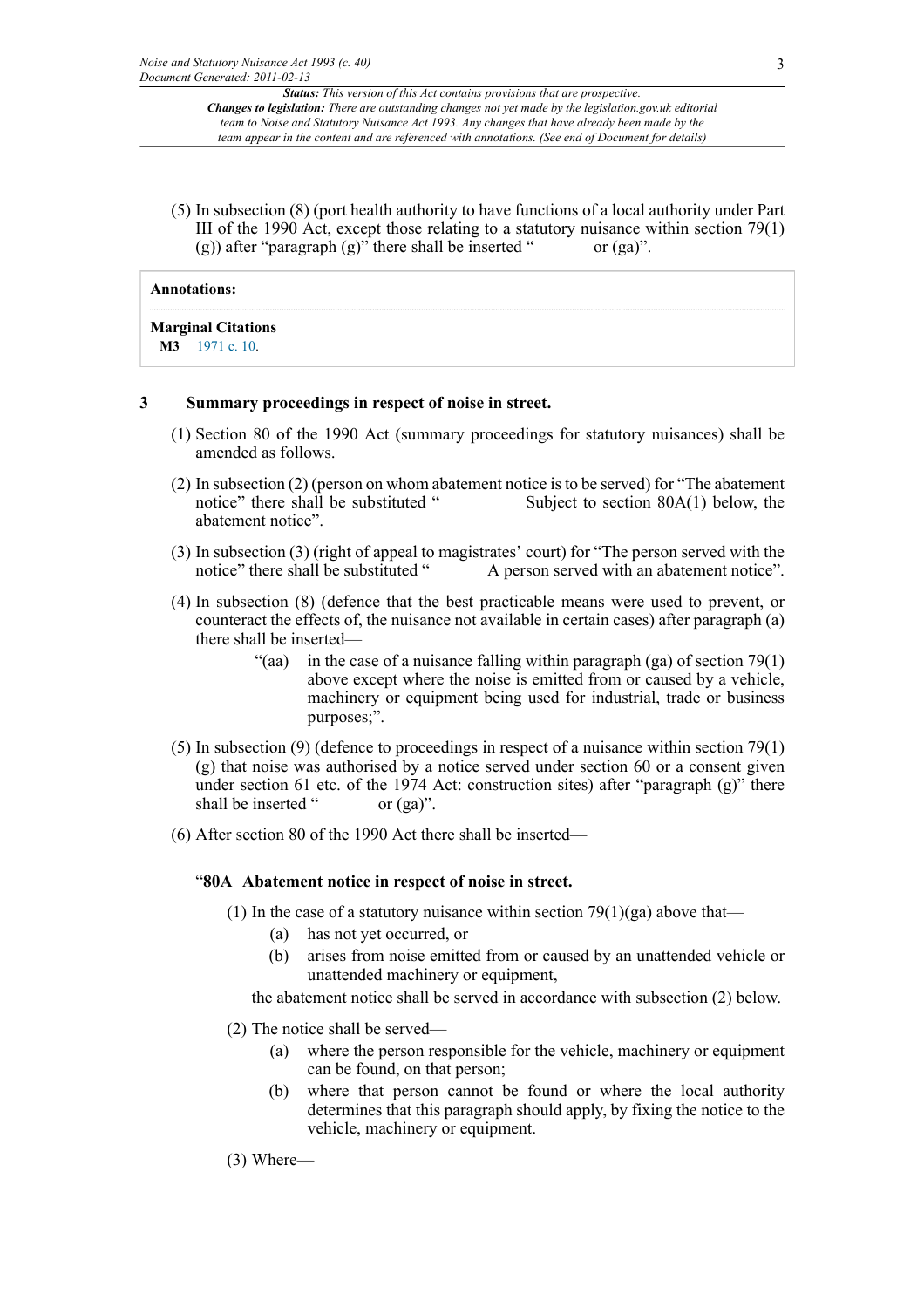(5) In subsection (8) (port health authority to have functions of a local authority under Part III of the 1990 Act, except those relating to a statutory nuisance within section  $79(1)$ (g)) after "paragraph (g)" there shall be inserted " $or (ga)$ ".

## **Annotations:**

<span id="page-2-0"></span>**Marginal Citations [M3](#page-1-2)** [1971 c. 10](http://www.legislation.gov.uk/id/ukpga/1971/0010).

## **3 Summary proceedings in respect of noise in street.**

- (1) Section 80 of the 1990 Act (summary proceedings for statutory nuisances) shall be amended as follows.
- (2) In subsection (2) (person on whom abatement notice is to be served) for "The abatement notice" there shall be substituted " Subject to section 80A(1) below, the abatement notice".
- (3) In subsection (3) (right of appeal to magistrates' court) for "The person served with the notice" there shall be substituted " A person served with an abatement notice".
- (4) In subsection (8) (defence that the best practicable means were used to prevent, or counteract the effects of, the nuisance not available in certain cases) after paragraph (a) there shall be inserted—
	- "(aa) in the case of a nuisance falling within paragraph (ga) of section  $79(1)$ above except where the noise is emitted from or caused by a vehicle, machinery or equipment being used for industrial, trade or business purposes;".
- (5) In subsection (9) (defence to proceedings in respect of a nuisance within section 79(1) (g) that noise was authorised by a notice served under section 60 or a consent given under section 61 etc. of the 1974 Act: construction sites) after "paragraph  $(g)$ " there shall be inserted " or (ga)".
- (6) After section 80 of the 1990 Act there shall be inserted—

## "**80A Abatement notice in respect of noise in street.**

- (1) In the case of a statutory nuisance within section  $79(1)(ga)$  above that—
	- (a) has not yet occurred, or
	- (b) arises from noise emitted from or caused by an unattended vehicle or unattended machinery or equipment,

the abatement notice shall be served in accordance with subsection (2) below.

- (2) The notice shall be served—
	- (a) where the person responsible for the vehicle, machinery or equipment can be found, on that person;
	- (b) where that person cannot be found or where the local authority determines that this paragraph should apply, by fixing the notice to the vehicle, machinery or equipment.
- (3) Where—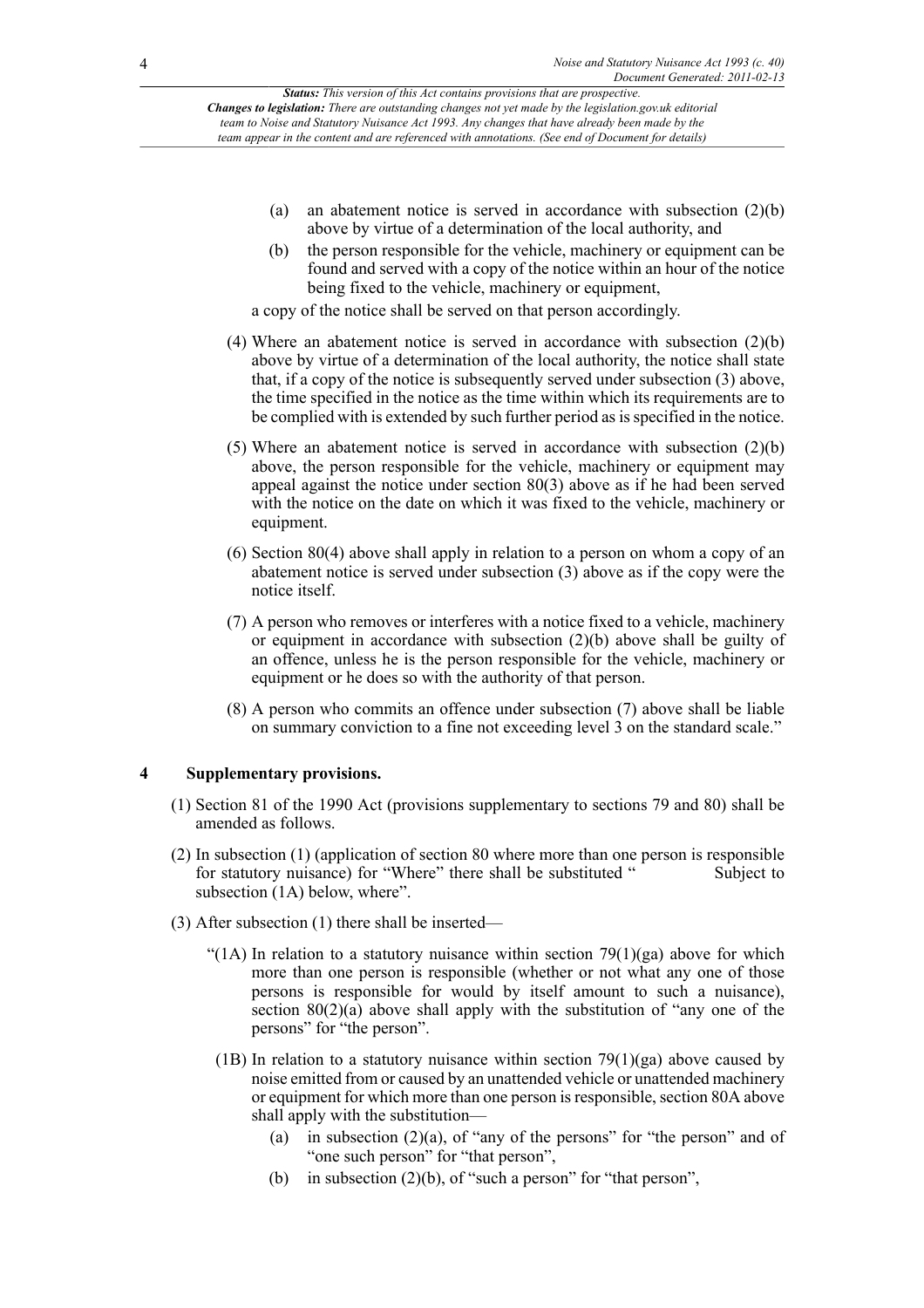- (a) an abatement notice is served in accordance with subsection (2)(b) above by virtue of a determination of the local authority, and
- (b) the person responsible for the vehicle, machinery or equipment can be found and served with a copy of the notice within an hour of the notice being fixed to the vehicle, machinery or equipment,

a copy of the notice shall be served on that person accordingly.

- (4) Where an abatement notice is served in accordance with subsection (2)(b) above by virtue of a determination of the local authority, the notice shall state that, if a copy of the notice is subsequently served under subsection (3) above, the time specified in the notice as the time within which its requirements are to be complied with is extended by such further period as is specified in the notice.
- (5) Where an abatement notice is served in accordance with subsection (2)(b) above, the person responsible for the vehicle, machinery or equipment may appeal against the notice under section 80(3) above as if he had been served with the notice on the date on which it was fixed to the vehicle, machinery or equipment.
- (6) Section 80(4) above shall apply in relation to a person on whom a copy of an abatement notice is served under subsection (3) above as if the copy were the notice itself.
- (7) A person who removes or interferes with a notice fixed to a vehicle, machinery or equipment in accordance with subsection (2)(b) above shall be guilty of an offence, unless he is the person responsible for the vehicle, machinery or equipment or he does so with the authority of that person.
- (8) A person who commits an offence under subsection (7) above shall be liable on summary conviction to a fine not exceeding level 3 on the standard scale."

## **4 Supplementary provisions.**

- (1) Section 81 of the 1990 Act (provisions supplementary to sections 79 and 80) shall be amended as follows.
- (2) In subsection (1) (application of section 80 where more than one person is responsible for statutory nuisance) for "Where" there shall be substituted " Subject to subsection (1A) below, where".
- (3) After subsection (1) there shall be inserted—
	- "(1A) In relation to a statutory nuisance within section  $79(1)(ga)$  above for which more than one person is responsible (whether or not what any one of those persons is responsible for would by itself amount to such a nuisance), section  $80(2)(a)$  above shall apply with the substitution of "any one of the persons" for "the person".
	- (1B) In relation to a statutory nuisance within section  $79(1)(ga)$  above caused by noise emitted from or caused by an unattended vehicle or unattended machinery or equipment for which more than one person is responsible, section 80A above shall apply with the substitution—
		- (a) in subsection  $(2)(a)$ , of "any of the persons" for "the person" and of "one such person" for "that person",
		- (b) in subsection  $(2)(b)$ , of "such a person" for "that person",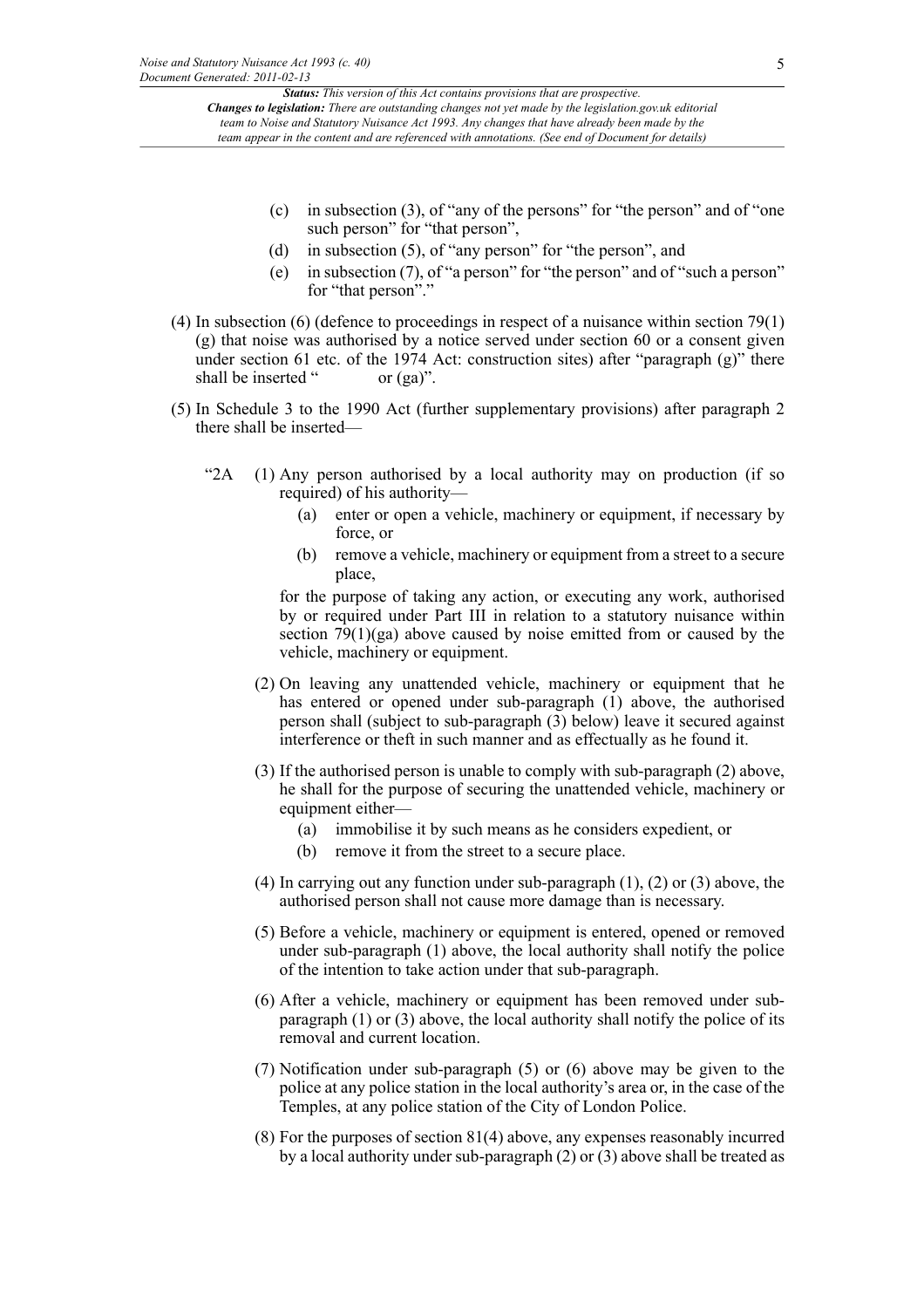- (c) in subsection (3), of "any of the persons" for "the person" and of "one such person" for "that person",
- (d) in subsection (5), of "any person" for "the person", and
- (e) in subsection (7), of "a person" for "the person" and of "such a person" for "that person"."
- (4) In subsection (6) (defence to proceedings in respect of a nuisance within section 79(1) (g) that noise was authorised by a notice served under section 60 or a consent given under section 61 etc. of the 1974 Act: construction sites) after "paragraph  $(g)$ " there shall be inserted " or (ga)".
- (5) In Schedule 3 to the 1990 Act (further supplementary provisions) after paragraph 2 there shall be inserted—
	- "2A (1) Any person authorised by a local authority may on production (if so required) of his authority—
		- (a) enter or open a vehicle, machinery or equipment, if necessary by force, or
		- (b) remove a vehicle, machinery or equipment from a street to a secure place,

for the purpose of taking any action, or executing any work, authorised by or required under Part III in relation to a statutory nuisance within section 79(1)(ga) above caused by noise emitted from or caused by the vehicle, machinery or equipment.

- (2) On leaving any unattended vehicle, machinery or equipment that he has entered or opened under sub-paragraph (1) above, the authorised person shall (subject to sub-paragraph (3) below) leave it secured against interference or theft in such manner and as effectually as he found it.
- (3) If the authorised person is unable to comply with sub-paragraph (2) above, he shall for the purpose of securing the unattended vehicle, machinery or equipment either—
	- (a) immobilise it by such means as he considers expedient, or
	- (b) remove it from the street to a secure place.
- (4) In carrying out any function under sub-paragraph (1), (2) or (3) above, the authorised person shall not cause more damage than is necessary.
- (5) Before a vehicle, machinery or equipment is entered, opened or removed under sub-paragraph (1) above, the local authority shall notify the police of the intention to take action under that sub-paragraph.
- (6) After a vehicle, machinery or equipment has been removed under subparagraph  $(1)$  or  $(3)$  above, the local authority shall notify the police of its removal and current location.
- (7) Notification under sub-paragraph (5) or (6) above may be given to the police at any police station in the local authority's area or, in the case of the Temples, at any police station of the City of London Police.
- (8) For the purposes of section 81(4) above, any expenses reasonably incurred by a local authority under sub-paragraph  $(2)$  or  $(3)$  above shall be treated as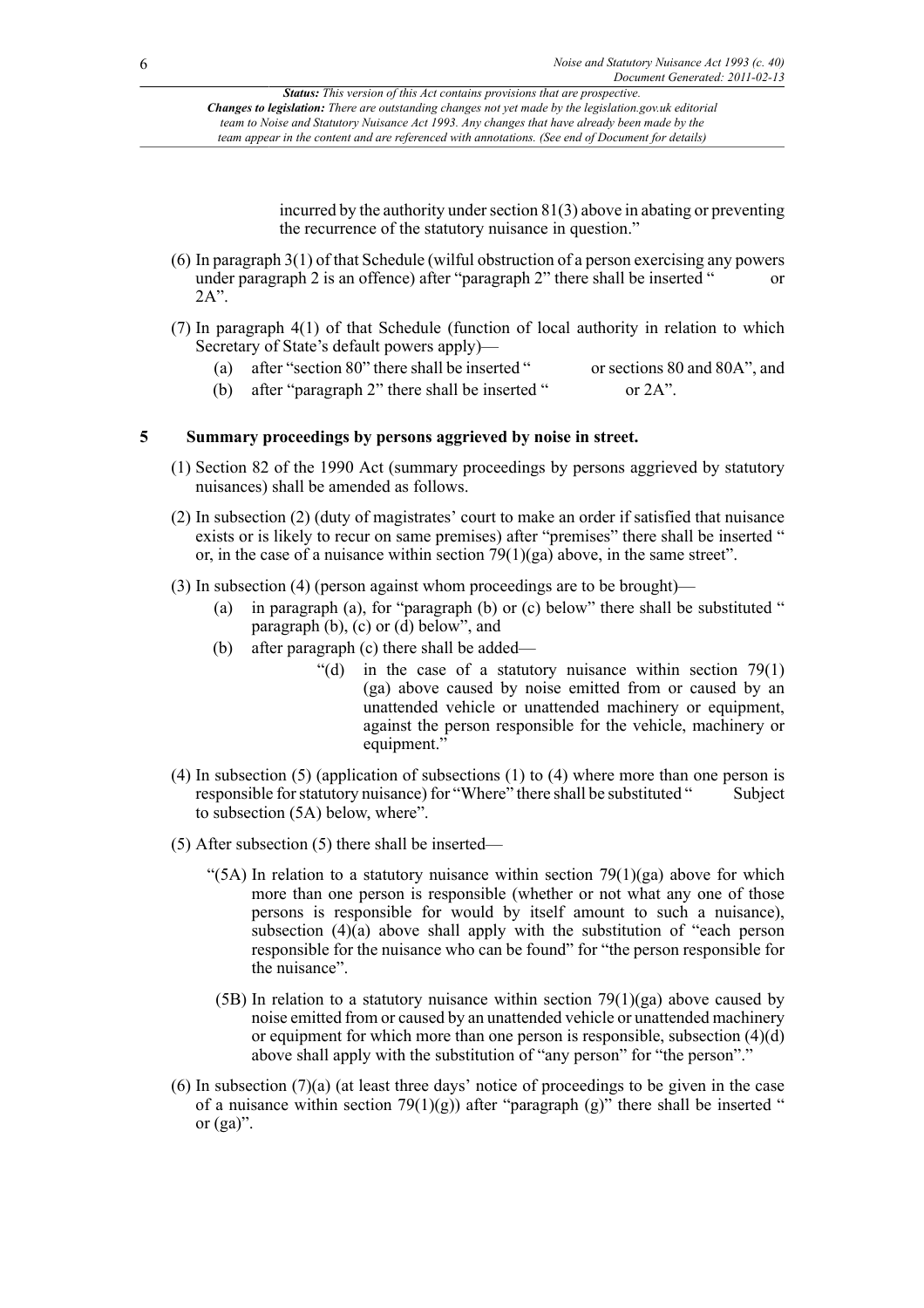incurred by the authority under section 81(3) above in abating or preventing the recurrence of the statutory nuisance in question."

- (6) In paragraph 3(1) of that Schedule (wilful obstruction of a person exercising any powers under paragraph 2 is an offence) after "paragraph 2" there shall be inserted " or 2A".
- (7) In paragraph 4(1) of that Schedule (function of local authority in relation to which Secretary of State's default powers apply)—
	- (a) after "section 80" there shall be inserted " or sections 80 and 80A", and
	- (b) after "paragraph 2" there shall be inserted " or 2A".

## **5 Summary proceedings by persons aggrieved by noise in street.**

- (1) Section 82 of the 1990 Act (summary proceedings by persons aggrieved by statutory nuisances) shall be amended as follows.
- (2) In subsection (2) (duty of magistrates' court to make an order if satisfied that nuisance exists or is likely to recur on same premises) after "premises" there shall be inserted " or, in the case of a nuisance within section  $79(1)(ga)$  above, in the same street".
- (3) In subsection (4) (person against whom proceedings are to be brought)—
	- (a) in paragraph (a), for "paragraph (b) or (c) below" there shall be substituted " paragraph  $(b)$ ,  $(c)$  or  $(d)$  below", and
	- (b) after paragraph (c) there shall be added—
		- "(d) in the case of a statutory nuisance within section  $79(1)$ (ga) above caused by noise emitted from or caused by an unattended vehicle or unattended machinery or equipment, against the person responsible for the vehicle, machinery or equipment."
- (4) In subsection (5) (application of subsections (1) to (4) where more than one person is responsible for statutory nuisance) for "Where" there shall be substituted "Subject to subsection (5A) below, where".
- (5) After subsection (5) there shall be inserted—
	- "(5A) In relation to a statutory nuisance within section  $79(1)(ga)$  above for which more than one person is responsible (whether or not what any one of those persons is responsible for would by itself amount to such a nuisance), subsection  $(4)(a)$  above shall apply with the substitution of "each person" responsible for the nuisance who can be found" for "the person responsible for the nuisance".
	- (5B) In relation to a statutory nuisance within section  $79(1)(ga)$  above caused by noise emitted from or caused by an unattended vehicle or unattended machinery or equipment for which more than one person is responsible, subsection (4)(d) above shall apply with the substitution of "any person" for "the person".
- (6) In subsection  $(7)(a)$  (at least three days' notice of proceedings to be given in the case of a nuisance within section 79(1)(g)) after "paragraph (g)" there shall be inserted " or  $(ga)$ ".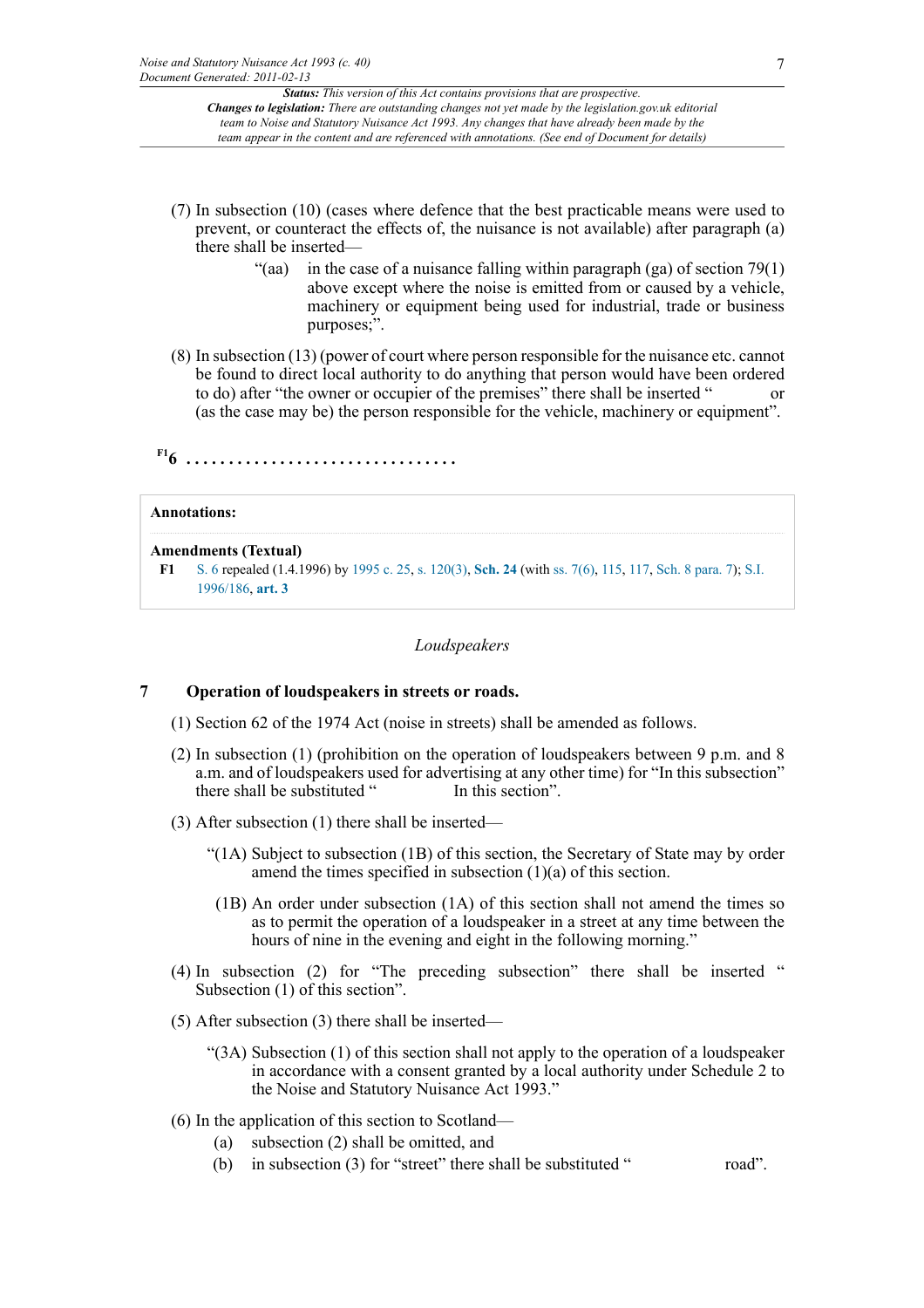- (7) In subsection (10) (cases where defence that the best practicable means were used to prevent, or counteract the effects of, the nuisance is not available) after paragraph (a) there shall be inserted—
	- "(aa) in the case of a nuisance falling within paragraph (ga) of section  $79(1)$ above except where the noise is emitted from or caused by a vehicle, machinery or equipment being used for industrial, trade or business purposes;".
- (8) In subsection (13) (power of court where person responsible for the nuisance etc. cannot be found to direct local authority to do anything that person would have been ordered to do) after "the owner or occupier of the premises" there shall be inserted " or (as the case may be) the person responsible for the vehicle, machinery or equipment".

<span id="page-6-1"></span>**[F1](#page-6-0)6 . . . . . . . . . . . . . . . . . . . . . . . . . . . . . . . .**

## **Annotations:**

#### **Amendments (Textual)**

```
F1 S. 6 repealed (1.4.1996) by 1995 c. 25, s. 120(3), Sch. 24 (with ss. 7(6), 115, 117, Sch. 8 para. 7); S.I.
1996/186, art. 3
```
#### *Loudspeakers*

## **7 Operation of loudspeakers in streets or roads.**

- (1) Section 62 of the 1974 Act (noise in streets) shall be amended as follows.
- (2) In subsection (1) (prohibition on the operation of loudspeakers between 9 p.m. and 8 a.m. and of loudspeakers used for advertising at any other time) for "In this subsection" there shall be substituted "
- (3) After subsection (1) there shall be inserted—
	- "(1A) Subject to subsection (1B) of this section, the Secretary of State may by order amend the times specified in subsection (1)(a) of this section.
	- (1B) An order under subsection (1A) of this section shall not amend the times so as to permit the operation of a loudspeaker in a street at any time between the hours of nine in the evening and eight in the following morning."
- (4) In subsection (2) for "The preceding subsection" there shall be inserted " Subsection (1) of this section".
- (5) After subsection (3) there shall be inserted—
	- "(3A) Subsection (1) of this section shall not apply to the operation of a loudspeaker in accordance with a consent granted by a local authority under Schedule 2 to the Noise and Statutory Nuisance Act 1993."
- (6) In the application of this section to Scotland—
	- (a) subsection (2) shall be omitted, and
	- (b) in subsection (3) for "street" there shall be substituted " road".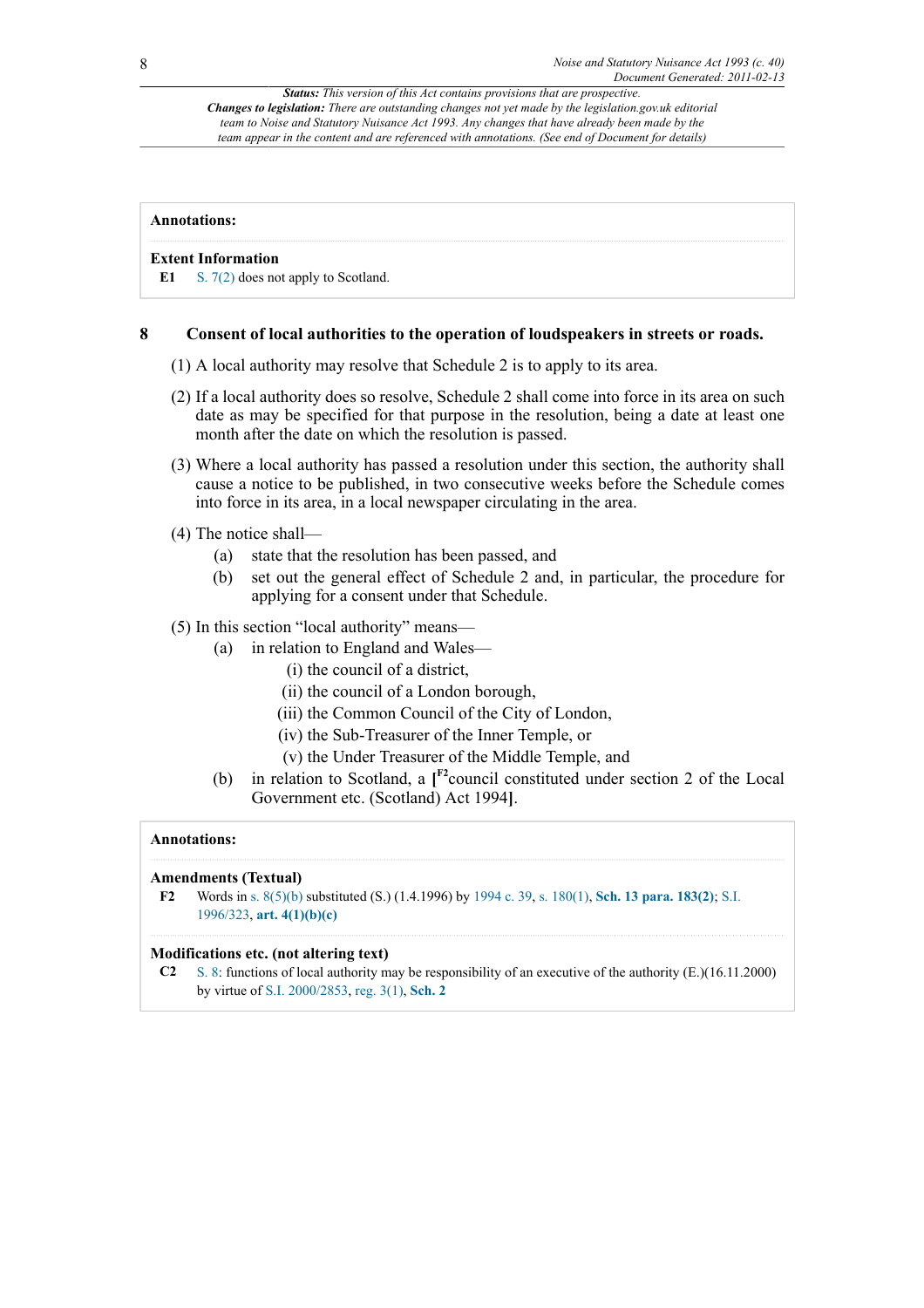#### **Annotations:**

#### **Extent Information**

**E1** [S. 7\(2\)](http://www.legislation.gov.uk/id/ukpga/1993/40/section/7/2) does not apply to Scotland.

## **8 Consent of local authorities to the operation of loudspeakers in streets or roads.**

- (1) A local authority may resolve that Schedule 2 is to apply to its area.
- (2) If a local authority does so resolve, Schedule 2 shall come into force in its area on such date as may be specified for that purpose in the resolution, being a date at least one month after the date on which the resolution is passed.
- (3) Where a local authority has passed a resolution under this section, the authority shall cause a notice to be published, in two consecutive weeks before the Schedule comes into force in its area, in a local newspaper circulating in the area.
- (4) The notice shall—
	- (a) state that the resolution has been passed, and
	- (b) set out the general effect of Schedule 2 and, in particular, the procedure for applying for a consent under that Schedule.
- (5) In this section "local authority" means—
	- (a) in relation to England and Wales—
		- (i) the council of a district,
		- (ii) the council of a London borough,
		- (iii) the Common Council of the City of London,
		- (iv) the Sub-Treasurer of the Inner Temple, or
		- (v) the Under Treasurer of the Middle Temple, and
	- (b) in relation to Scotland, a **[ [F2](#page-7-0)**council constituted under section 2 of the Local Government etc. (Scotland) Act 1994**]**.

#### <span id="page-7-1"></span>**Annotations:**

#### **Amendments (Textual)**

<span id="page-7-0"></span>**[F2](#page-7-1)** Words in [s. 8\(5\)\(b\)](http://www.legislation.gov.uk/id/ukpga/1993/40/section/8/5/b) substituted (S.) (1.4.1996) by [1994 c. 39,](http://www.legislation.gov.uk/id/ukpga/1994/0039) [s. 180\(1\)](http://www.legislation.gov.uk/id/ukpga/1994/0039/section/180/1), **[Sch. 13 para. 183\(2\)](http://www.legislation.gov.uk/id/ukpga/1994/0039/schedule/13/paragraph/183/2)**; [S.I.](http://www.legislation.gov.uk/id/uksi/1996/0323) [1996/323,](http://www.legislation.gov.uk/id/uksi/1996/0323) **[art. 4\(1\)\(b\)\(c\)](http://www.legislation.gov.uk/id/uksi/1996/0323/article/4/1/b/c)**

#### **Modifications etc. (not altering text)**

**C2** [S. 8:](http://www.legislation.gov.uk/id/ukpga/1993/40/section/8) functions of local authority may be responsibility of an executive of the authority (E.)(16.11.2000) by virtue of [S.I. 2000/2853](http://www.legislation.gov.uk/id/uksi/2000/2853), [reg. 3\(1\),](http://www.legislation.gov.uk/id/uksi/2000/2853/regulation/3/1) **[Sch. 2](http://www.legislation.gov.uk/id/uksi/2000/2853/schedule/2)**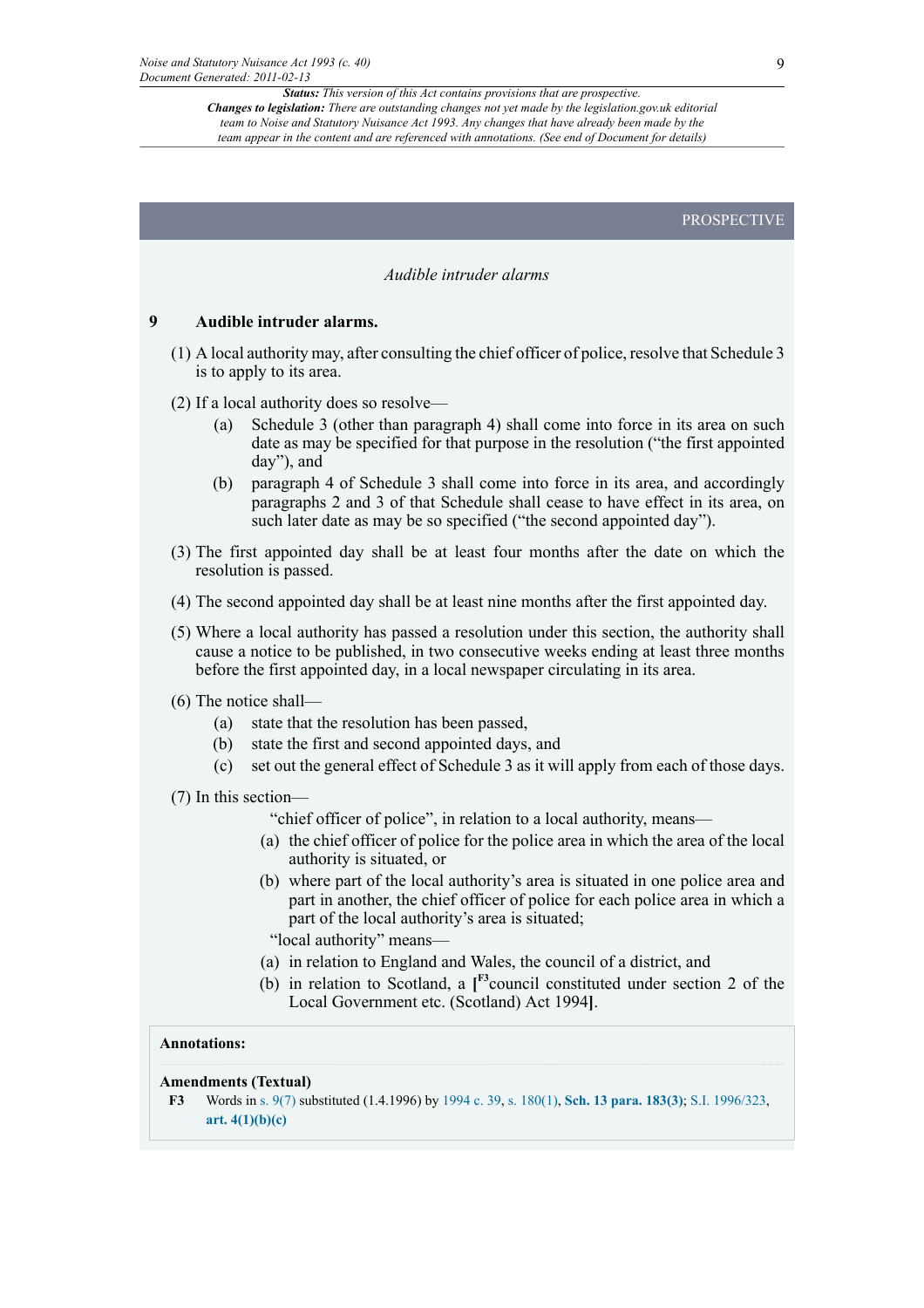PROSPECTIVE

## *Audible intruder alarms*

## **9 Audible intruder alarms.**

- (1) A local authority may, after consulting the chief officer of police, resolve that Schedule 3 is to apply to its area.
- (2) If a local authority does so resolve—
	- (a) Schedule 3 (other than paragraph 4) shall come into force in its area on such date as may be specified for that purpose in the resolution ("the first appointed day"), and
	- (b) paragraph 4 of Schedule 3 shall come into force in its area, and accordingly paragraphs 2 and 3 of that Schedule shall cease to have effect in its area, on such later date as may be so specified ("the second appointed day").
- (3) The first appointed day shall be at least four months after the date on which the resolution is passed.
- (4) The second appointed day shall be at least nine months after the first appointed day.
- (5) Where a local authority has passed a resolution under this section, the authority shall cause a notice to be published, in two consecutive weeks ending at least three months before the first appointed day, in a local newspaper circulating in its area.
- (6) The notice shall—
	- (a) state that the resolution has been passed,
	- (b) state the first and second appointed days, and
	- (c) set out the general effect of Schedule 3 as it will apply from each of those days.

(7) In this section—

"chief officer of police", in relation to a local authority, means—

- (a) the chief officer of police for the police area in which the area of the local authority is situated, or
- (b) where part of the local authority's area is situated in one police area and part in another, the chief officer of police for each police area in which a part of the local authority's area is situated;

<span id="page-8-1"></span>"local authority" means—

- (a) in relation to England and Wales, the council of a district, and
- (b) in relation to Scotland, a **[ [F3](#page-8-0)**council constituted under section 2 of the Local Government etc. (Scotland) Act 1994**]**.

## **Annotations:**

## <span id="page-8-0"></span>**Amendments (Textual)**

```
F3 Words in s. 9(7) substituted (1.4.1996) by 1994 c. 39, s. 180(1), Sch. 13 para. 183(3); S.I. 1996/323,
art. 4(1)(b)(c)
```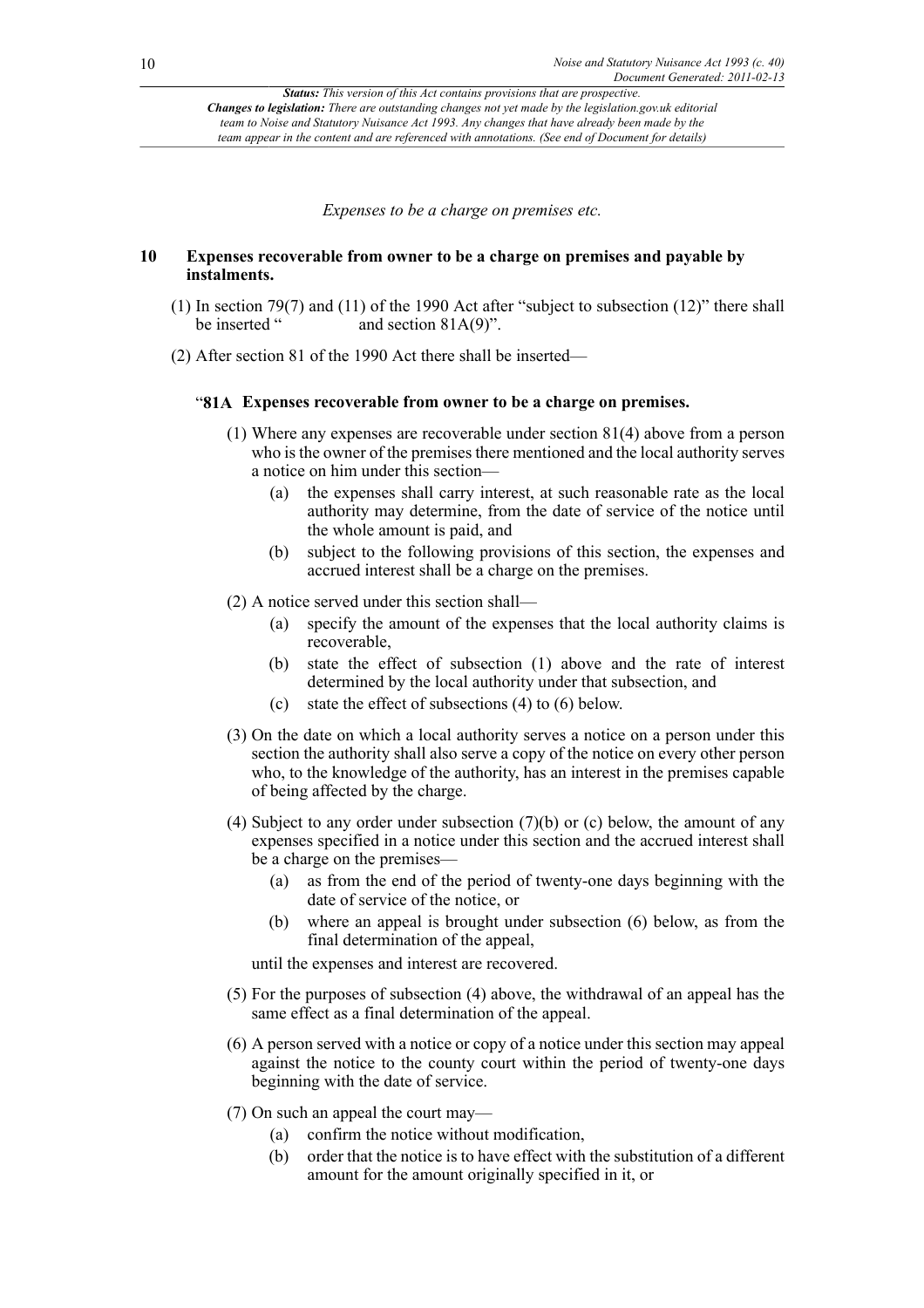*Changes to legislation: There are outstanding changes not yet made by the legislation.gov.uk editorial team to Noise and Statutory Nuisance Act 1993. Any changes that have already been made by the team appear in the content and are referenced with annotations. (See end of Document for details)*

*Expenses to be a charge on premises etc.*

## **10 Expenses recoverable from owner to be a charge on premises and payable by instalments.**

- (1) In section 79(7) and (11) of the 1990 Act after "subject to subsection (12)" there shall be inserted "and section  $81A(9)$ ". and section  $81A(9)$ ".
- (2) After section 81 of the 1990 Act there shall be inserted—

## "**81A Expenses recoverable from owner to be a charge on premises.**

- (1) Where any expenses are recoverable under section 81(4) above from a person who is the owner of the premises there mentioned and the local authority serves a notice on him under this section—
	- (a) the expenses shall carry interest, at such reasonable rate as the local authority may determine, from the date of service of the notice until the whole amount is paid, and
	- (b) subject to the following provisions of this section, the expenses and accrued interest shall be a charge on the premises.
- (2) A notice served under this section shall—
	- (a) specify the amount of the expenses that the local authority claims is recoverable,
	- (b) state the effect of subsection (1) above and the rate of interest determined by the local authority under that subsection, and
	- (c) state the effect of subsections (4) to (6) below.
- (3) On the date on which a local authority serves a notice on a person under this section the authority shall also serve a copy of the notice on every other person who, to the knowledge of the authority, has an interest in the premises capable of being affected by the charge.
- (4) Subject to any order under subsection (7)(b) or (c) below, the amount of any expenses specified in a notice under this section and the accrued interest shall be a charge on the premises—
	- (a) as from the end of the period of twenty-one days beginning with the date of service of the notice, or
	- (b) where an appeal is brought under subsection (6) below, as from the final determination of the appeal,

until the expenses and interest are recovered.

- (5) For the purposes of subsection (4) above, the withdrawal of an appeal has the same effect as a final determination of the appeal.
- (6) A person served with a notice or copy of a notice under this section may appeal against the notice to the county court within the period of twenty-one days beginning with the date of service.
- (7) On such an appeal the court may—
	- (a) confirm the notice without modification,
	- (b) order that the notice is to have effect with the substitution of a different amount for the amount originally specified in it, or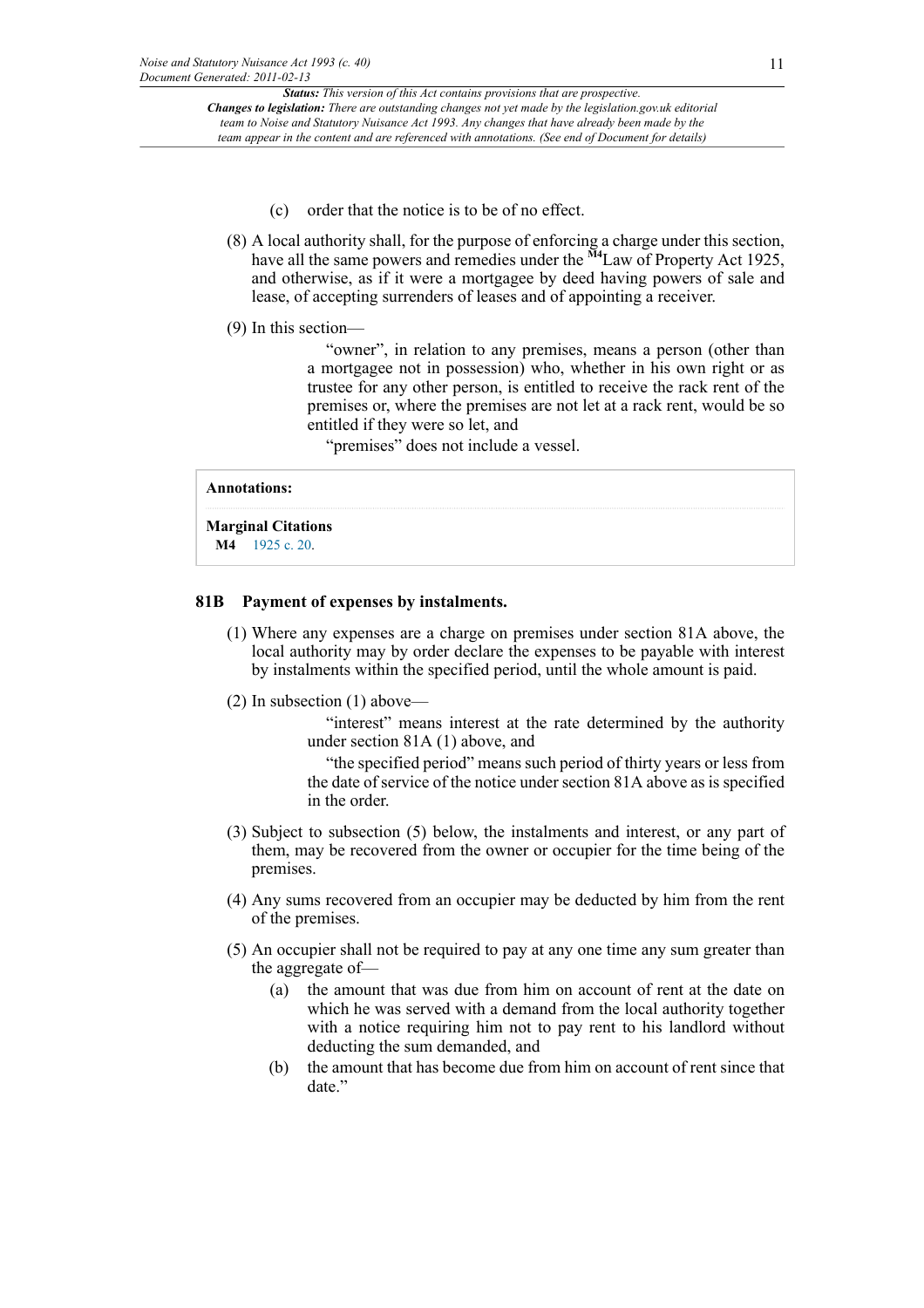- (c) order that the notice is to be of no effect.
- (8) A local authority shall, for the purpose of enforcing a charge under this section, have all the same powers and remedies under the  $^{\text{M4}}$  $^{\text{M4}}$  $^{\text{M4}}$ Law of Property Act 1925, and otherwise, as if it were a mortgagee by deed having powers of sale and lease, of accepting surrenders of leases and of appointing a receiver.
- (9) In this section—

<span id="page-10-1"></span>"owner", in relation to any premises, means a person (other than a mortgagee not in possession) who, whether in his own right or as trustee for any other person, is entitled to receive the rack rent of the premises or, where the premises are not let at a rack rent, would be so entitled if they were so let, and

"premises" does not include a vessel.

```
Annotations:
```
<span id="page-10-0"></span>**Marginal Citations [M4](#page-10-1)** [1925 c. 20](http://www.legislation.gov.uk/id/ukpga/1925/0020).

## **81B Payment of expenses by instalments.**

- (1) Where any expenses are a charge on premises under section 81A above, the local authority may by order declare the expenses to be payable with interest by instalments within the specified period, until the whole amount is paid.
- (2) In subsection (1) above—

"interest" means interest at the rate determined by the authority under section 81A (1) above, and

"the specified period" means such period of thirty years or less from the date of service of the notice under section 81A above as is specified in the order.

- (3) Subject to subsection (5) below, the instalments and interest, or any part of them, may be recovered from the owner or occupier for the time being of the premises.
- (4) Any sums recovered from an occupier may be deducted by him from the rent of the premises.
- (5) An occupier shall not be required to pay at any one time any sum greater than the aggregate of—
	- (a) the amount that was due from him on account of rent at the date on which he was served with a demand from the local authority together with a notice requiring him not to pay rent to his landlord without deducting the sum demanded, and
	- (b) the amount that has become due from him on account of rent since that date."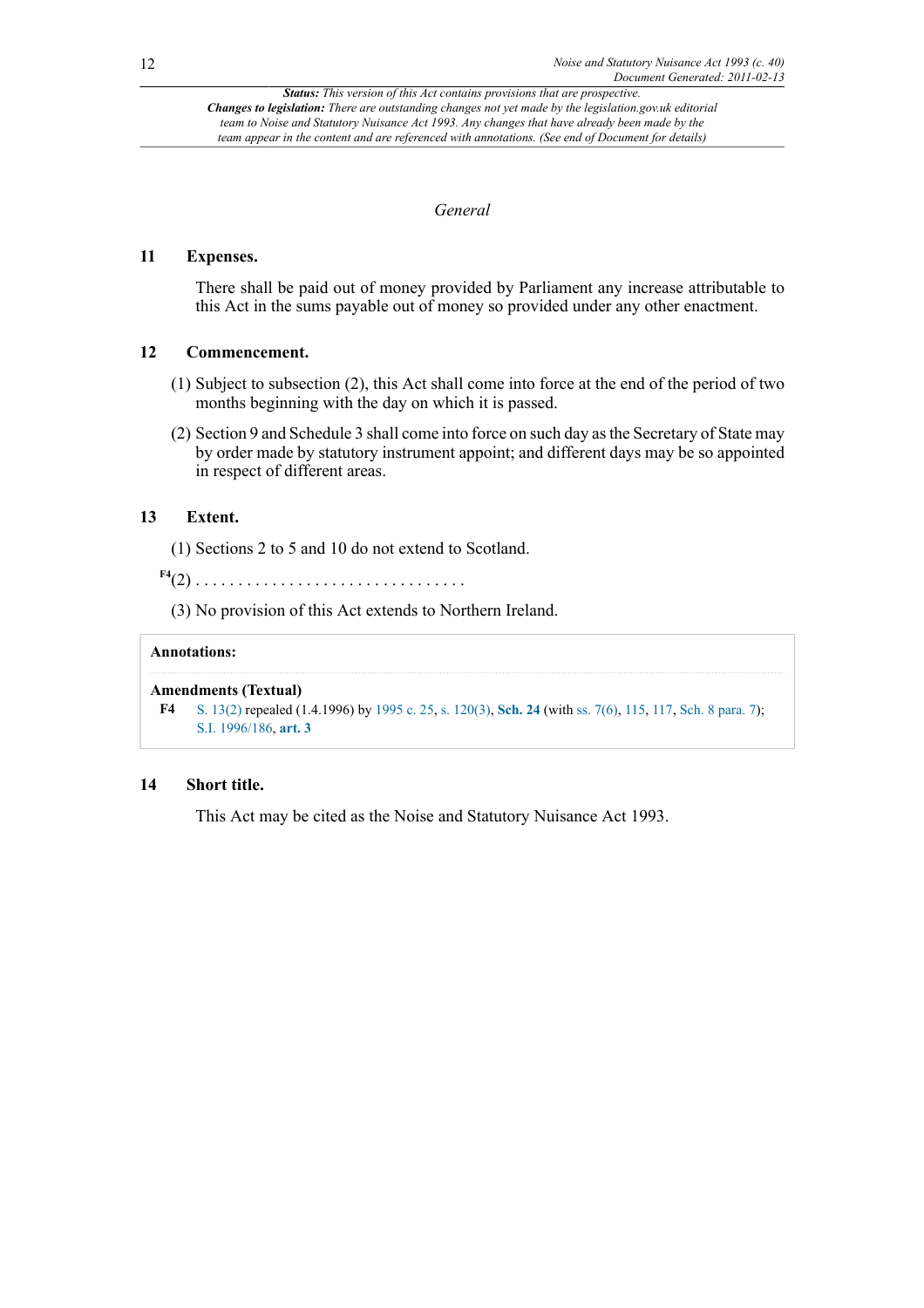## *General*

## **11 Expenses.**

There shall be paid out of money provided by Parliament any increase attributable to this Act in the sums payable out of money so provided under any other enactment.

## **12 Commencement.**

- (1) Subject to subsection (2), this Act shall come into force at the end of the period of two months beginning with the day on which it is passed.
- (2) Section 9 and Schedule 3 shall come into force on such day as the Secretary of State may by order made by statutory instrument appoint; and different days may be so appointed in respect of different areas.

## **13 Extent.**

- (1) Sections 2 to 5 and 10 do not extend to Scotland.
- <span id="page-11-1"></span>**[F4](#page-11-0)**(2) . . . . . . . . . . . . . . . . . . . . . . . . . . . . . . . .
	- (3) No provision of this Act extends to Northern Ireland.

## **Annotations:**

```
Amendments (Textual)
```

```
F4 S. 13(2) repealed (1.4.1996) by 1995 c. 25, s. 120(3), Sch. 24 (with ss. 7(6), 115, 117, Sch. 8 para. 7);
S.I. 1996/186, art. 3
```
## **14 Short title.**

This Act may be cited as the Noise and Statutory Nuisance Act 1993.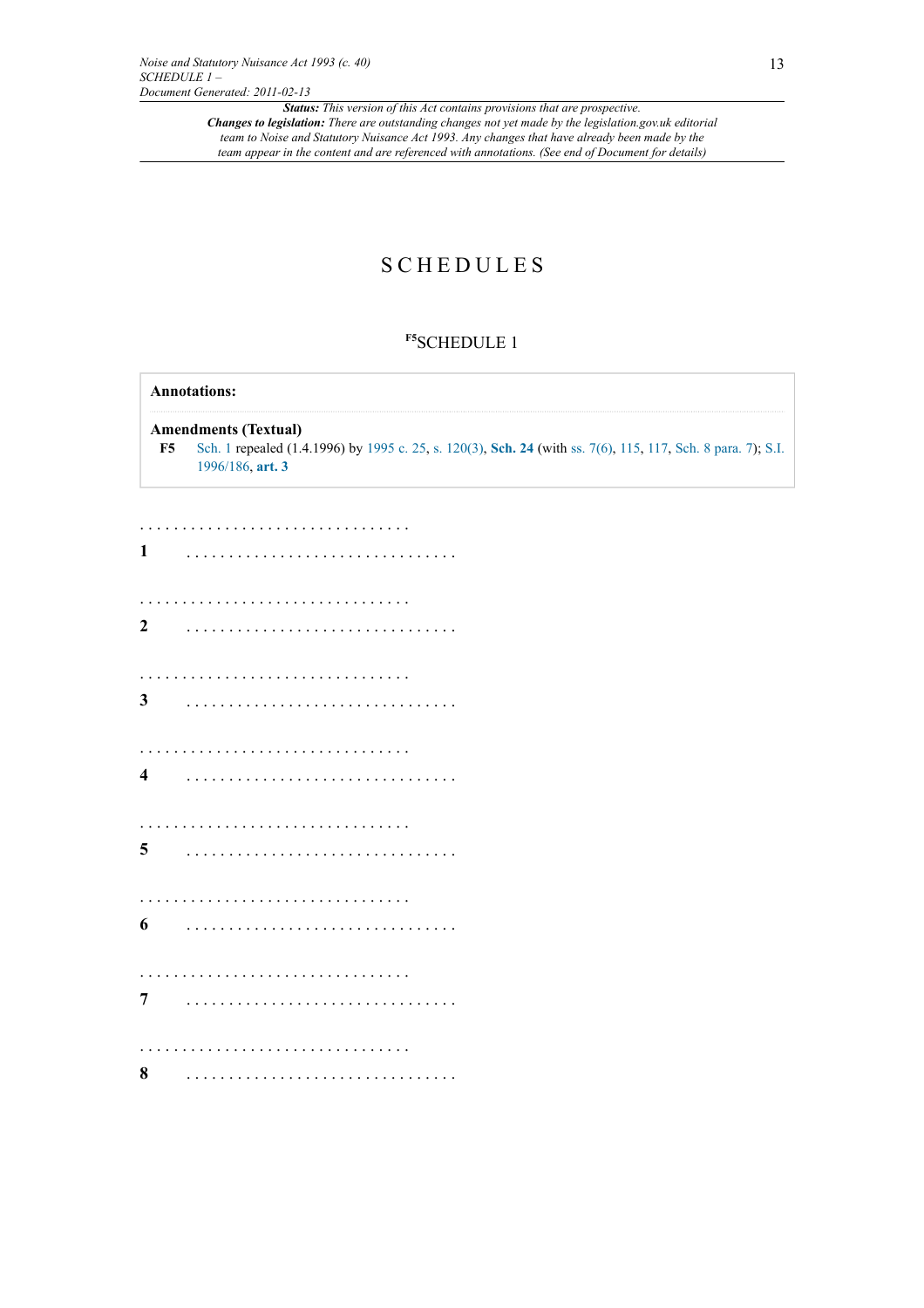**Annotations:**

**Amendments (Textual)**

[1996/186,](http://www.legislation.gov.uk/id/uksi/1996/0186) **[art. 3](http://www.legislation.gov.uk/id/uksi/1996/0186/article/3)**

*Status: This version of this Act contains provisions that are prospective. Changes to legislation: There are outstanding changes not yet made by the legislation.gov.uk editorial team to Noise and Statutory Nuisance Act 1993. Any changes that have already been made by the team appear in the content and are referenced with annotations. (See end of Document for details)*

# **S C H E D U L E S**

## <span id="page-12-1"></span>**[F5](#page-12-0)**SCHEDULE 1

<span id="page-12-0"></span>**[F5](#page-12-1)** [Sch. 1](http://www.legislation.gov.uk/id/ukpga/1993/40/schedule/1) repealed (1.4.1996) by [1995 c. 25](http://www.legislation.gov.uk/id/ukpga/1995/0025), [s. 120\(3\)](http://www.legislation.gov.uk/id/ukpga/1995/0025/section/120/3), **[Sch. 24](http://www.legislation.gov.uk/id/ukpga/1995/0025/schedule/24)** (with [ss. 7\(6\)](http://www.legislation.gov.uk/id/ukpga/1995/0025/section/7/6), [115](http://www.legislation.gov.uk/id/ukpga/1995/0025/section/115), [117](http://www.legislation.gov.uk/id/ukpga/1995/0025/section/117), [Sch. 8 para. 7\)](http://www.legislation.gov.uk/id/ukpga/1995/0025/schedule/8/paragraph/7); [S.I.](http://www.legislation.gov.uk/id/uksi/1996/0186)

| 1 |  |
|---|--|
|   |  |
| 2 |  |
|   |  |
| 3 |  |
|   |  |
|   |  |
| 4 |  |
|   |  |
| 5 |  |
|   |  |
|   |  |
| 6 |  |
|   |  |
| 7 |  |
|   |  |
|   |  |
| 8 |  |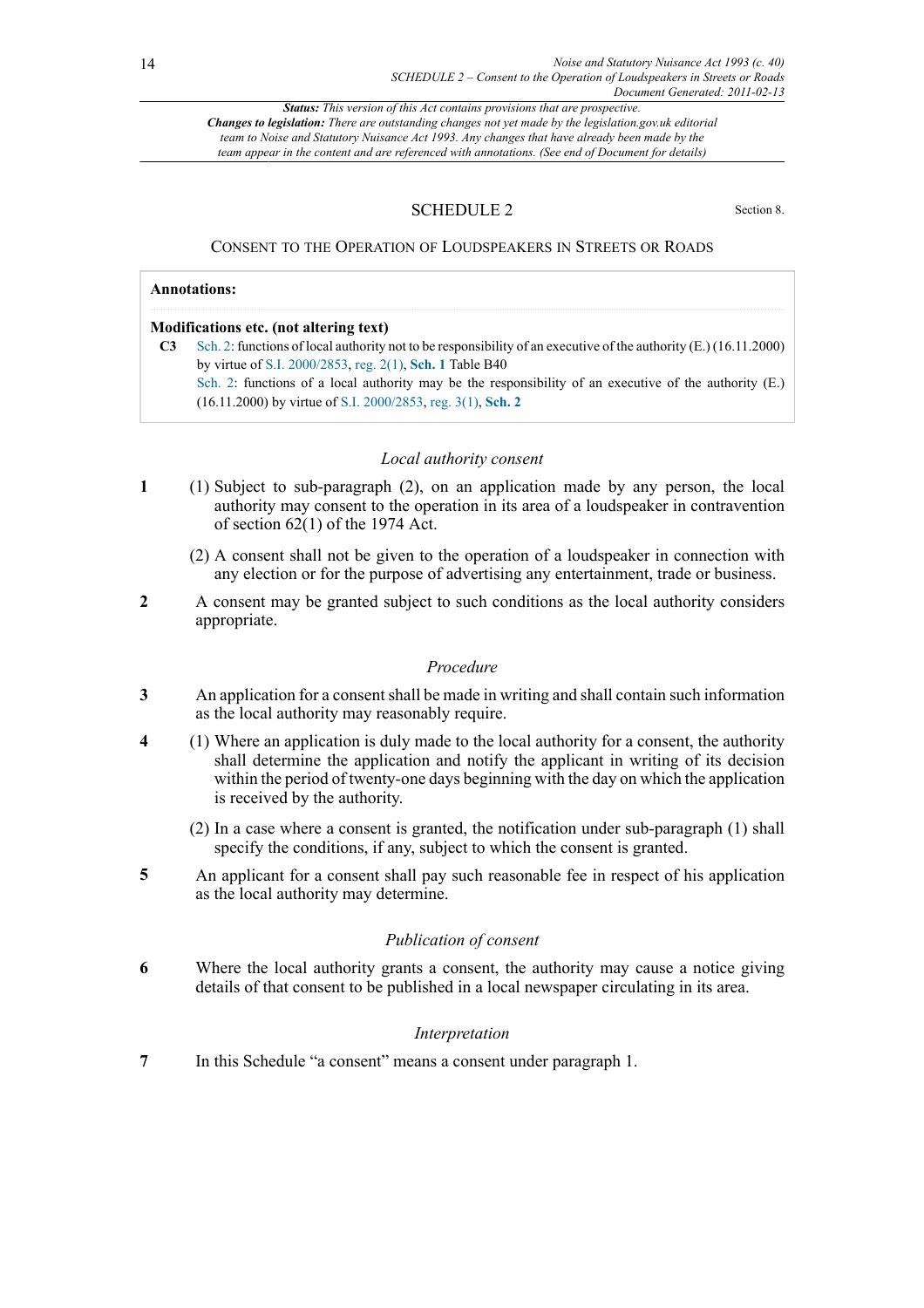## SCHEDULE 2 Section 8.

## CONSENT TO THE OPERATION OF LOUDSPEAKERS IN STREETS OR ROADS

| Annotations:                           |                                                                                                                   |  |  |  |
|----------------------------------------|-------------------------------------------------------------------------------------------------------------------|--|--|--|
| Modifications etc. (not altering text) |                                                                                                                   |  |  |  |
|                                        | Sch. 2: functions of local authority not to be responsibility of an executive of the authority $(E)$ (16.11.2000) |  |  |  |
|                                        | by virtue of S.I. 2000/2853, reg. $2(1)$ , Sch. 1 Table B40                                                       |  |  |  |
|                                        | Sch. 2: functions of a local authority may be the responsibility of an executive of the authority $(E)$           |  |  |  |
|                                        | $(16.11.2000)$ by virtue of S.I. 2000/2853, reg. 3(1), Sch. 2                                                     |  |  |  |
|                                        |                                                                                                                   |  |  |  |

## *Local authority consent*

- **1** (1) Subject to sub-paragraph (2), on an application made by any person, the local authority may consent to the operation in its area of a loudspeaker in contravention of section  $62(1)$  of the 1974 Act.
	- (2) A consent shall not be given to the operation of a loudspeaker in connection with any election or for the purpose of advertising any entertainment, trade or business.
- **2** A consent may be granted subject to such conditions as the local authority considers appropriate.

## *Procedure*

- **3** An application for a consent shall be made in writing and shall contain such information as the local authority may reasonably require.
- **4** (1) Where an application is duly made to the local authority for a consent, the authority shall determine the application and notify the applicant in writing of its decision within the period of twenty-one days beginning with the day on which the application is received by the authority.
	- (2) In a case where a consent is granted, the notification under sub-paragraph (1) shall specify the conditions, if any, subject to which the consent is granted.
- **5** An applicant for a consent shall pay such reasonable fee in respect of his application as the local authority may determine.

## *Publication of consent*

**6** Where the local authority grants a consent, the authority may cause a notice giving details of that consent to be published in a local newspaper circulating in its area.

## *Interpretation*

**7** In this Schedule "a consent" means a consent under paragraph 1.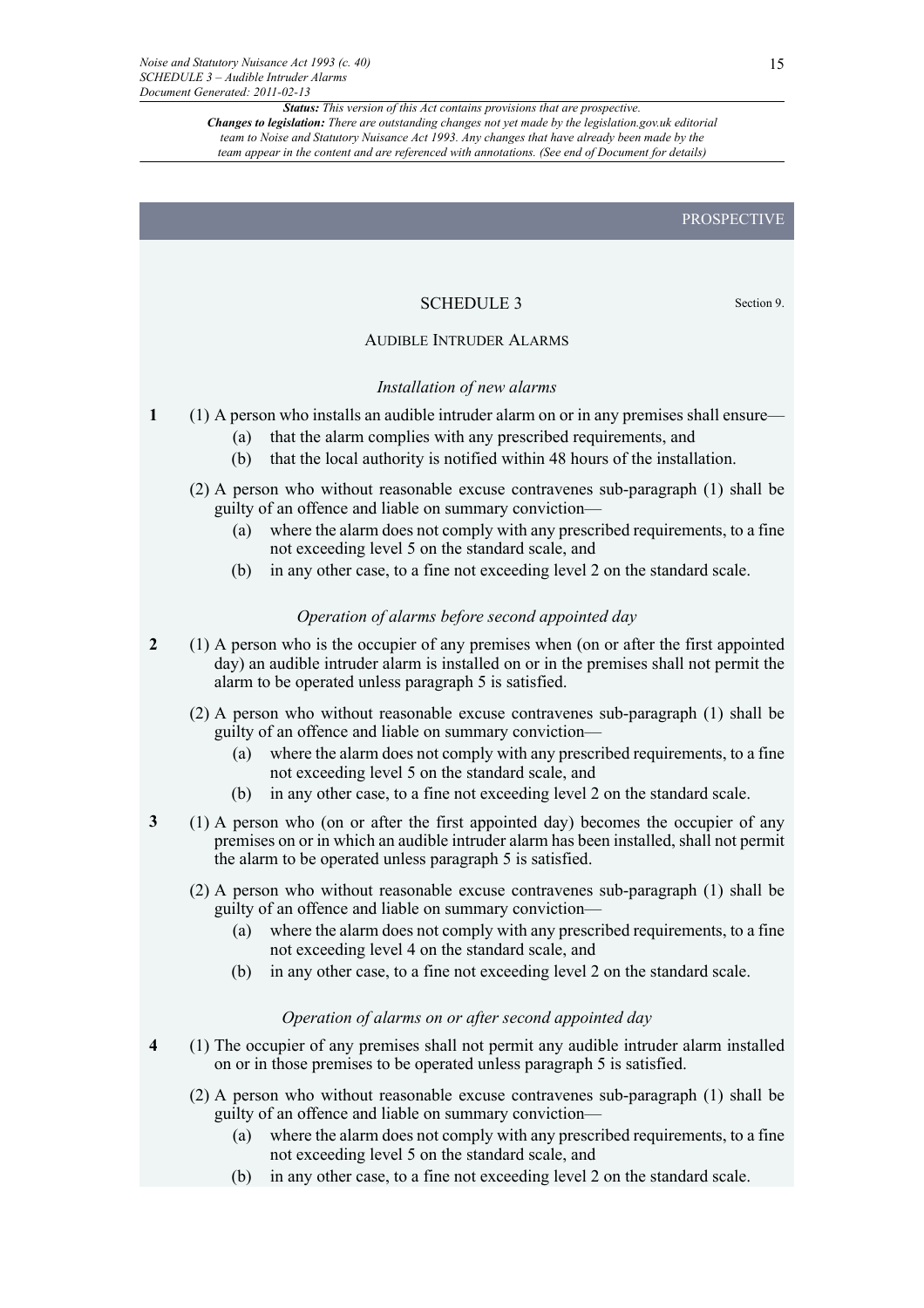#### PROSPECTIVE

#### SCHEDULE 3 Section 9.

#### AUDIBLE INTRUDER ALARMS

#### *Installation of new alarms*

- **1** (1) A person who installs an audible intruder alarm on or in any premises shall ensure—
	- (a) that the alarm complies with any prescribed requirements, and
	- (b) that the local authority is notified within 48 hours of the installation.
	- (2) A person who without reasonable excuse contravenes sub-paragraph (1) shall be guilty of an offence and liable on summary conviction—
		- (a) where the alarm does not comply with any prescribed requirements, to a fine not exceeding level 5 on the standard scale, and
		- (b) in any other case, to a fine not exceeding level 2 on the standard scale.

#### *Operation of alarms before second appointed day*

- **2** (1) A person who is the occupier of any premises when (on or after the first appointed day) an audible intruder alarm is installed on or in the premises shall not permit the alarm to be operated unless paragraph 5 is satisfied.
	- (2) A person who without reasonable excuse contravenes sub-paragraph (1) shall be guilty of an offence and liable on summary conviction—
		- (a) where the alarm does not comply with any prescribed requirements, to a fine not exceeding level 5 on the standard scale, and
		- (b) in any other case, to a fine not exceeding level 2 on the standard scale.
- **3** (1) A person who (on or after the first appointed day) becomes the occupier of any premises on or in which an audible intruder alarm has been installed, shall not permit the alarm to be operated unless paragraph 5 is satisfied.
	- (2) A person who without reasonable excuse contravenes sub-paragraph (1) shall be guilty of an offence and liable on summary conviction—
		- (a) where the alarm does not comply with any prescribed requirements, to a fine not exceeding level 4 on the standard scale, and
		- (b) in any other case, to a fine not exceeding level 2 on the standard scale.

## *Operation of alarms on or after second appointed day*

- **4** (1) The occupier of any premises shall not permit any audible intruder alarm installed on or in those premises to be operated unless paragraph 5 is satisfied.
	- (2) A person who without reasonable excuse contravenes sub-paragraph (1) shall be guilty of an offence and liable on summary conviction—
		- (a) where the alarm does not comply with any prescribed requirements, to a fine not exceeding level 5 on the standard scale, and
		- (b) in any other case, to a fine not exceeding level 2 on the standard scale.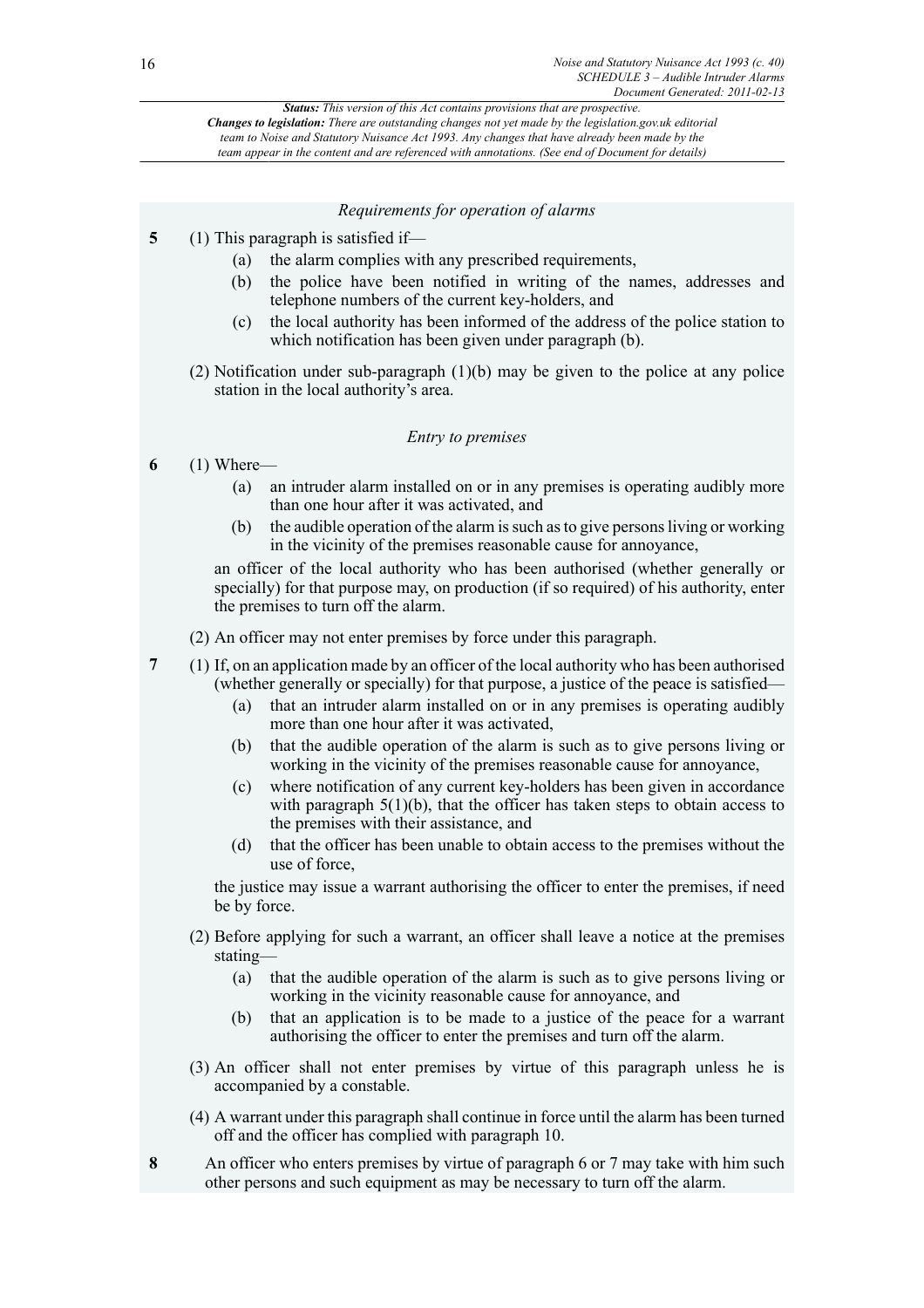| <b>Status:</b> This version of this Act contains provisions that are prospective.                             |  |
|---------------------------------------------------------------------------------------------------------------|--|
| <b>Changes to legislation:</b> There are outstanding changes not yet made by the legislation.gov.uk editorial |  |
| team to Noise and Statutory Nuisance Act 1993. Any changes that have already been made by the                 |  |
| team appear in the content and are referenced with annotations. (See end of Document for details)             |  |

#### *Requirements for operation of alarms*

- **5** (1) This paragraph is satisfied if—
	- (a) the alarm complies with any prescribed requirements,
	- (b) the police have been notified in writing of the names, addresses and telephone numbers of the current key-holders, and
	- (c) the local authority has been informed of the address of the police station to which notification has been given under paragraph (b).
	- (2) Notification under sub-paragraph (1)(b) may be given to the police at any police station in the local authority's area.

## *Entry to premises*

- **6** (1) Where—
	- (a) an intruder alarm installed on or in any premises is operating audibly more than one hour after it was activated, and
	- (b) the audible operation of the alarm is such as to give persons living or working in the vicinity of the premises reasonable cause for annoyance,

an officer of the local authority who has been authorised (whether generally or specially) for that purpose may, on production (if so required) of his authority, enter the premises to turn off the alarm.

(2) An officer may not enter premises by force under this paragraph.

- **7** (1) If, on an application made by an officer of the local authority who has been authorised (whether generally or specially) for that purpose, a justice of the peace is satisfied—
	- (a) that an intruder alarm installed on or in any premises is operating audibly more than one hour after it was activated,
	- (b) that the audible operation of the alarm is such as to give persons living or working in the vicinity of the premises reasonable cause for annoyance,
	- (c) where notification of any current key-holders has been given in accordance with paragraph  $5(1)(b)$ , that the officer has taken steps to obtain access to the premises with their assistance, and
	- (d) that the officer has been unable to obtain access to the premises without the use of force,

the justice may issue a warrant authorising the officer to enter the premises, if need be by force.

- (2) Before applying for such a warrant, an officer shall leave a notice at the premises stating—
	- (a) that the audible operation of the alarm is such as to give persons living or working in the vicinity reasonable cause for annoyance, and
	- (b) that an application is to be made to a justice of the peace for a warrant authorising the officer to enter the premises and turn off the alarm.
- (3) An officer shall not enter premises by virtue of this paragraph unless he is accompanied by a constable.
- (4) A warrant under this paragraph shall continue in force until the alarm has been turned off and the officer has complied with paragraph 10.
- **8** An officer who enters premises by virtue of paragraph 6 or 7 may take with him such other persons and such equipment as may be necessary to turn off the alarm.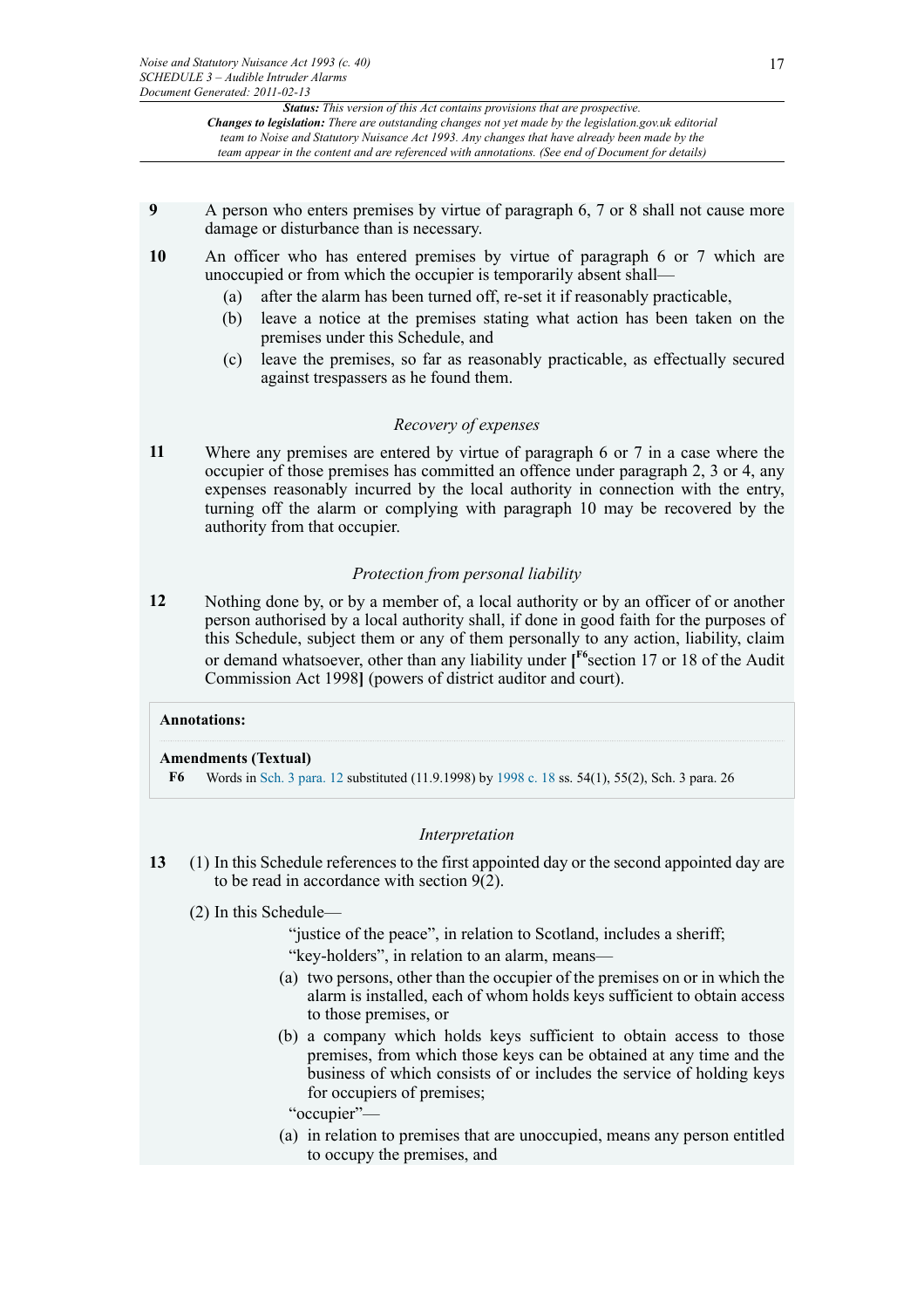*Status: This version of this Act contains provisions that are prospective. Changes to legislation: There are outstanding changes not yet made by the legislation.gov.uk editorial*

*team to Noise and Statutory Nuisance Act 1993. Any changes that have already been made by the team appear in the content and are referenced with annotations. (See end of Document for details)*

- **9** A person who enters premises by virtue of paragraph 6, 7 or 8 shall not cause more
- damage or disturbance than is necessary.
- **10** An officer who has entered premises by virtue of paragraph 6 or 7 which are unoccupied or from which the occupier is temporarily absent shall—
	- (a) after the alarm has been turned off, re-set it if reasonably practicable,
	- (b) leave a notice at the premises stating what action has been taken on the premises under this Schedule, and
	- (c) leave the premises, so far as reasonably practicable, as effectually secured against trespassers as he found them.

## *Recovery of expenses*

**11** Where any premises are entered by virtue of paragraph 6 or 7 in a case where the occupier of those premises has committed an offence under paragraph 2, 3 or 4, any expenses reasonably incurred by the local authority in connection with the entry, turning off the alarm or complying with paragraph 10 may be recovered by the authority from that occupier.

## <span id="page-16-1"></span>*Protection from personal liability*

**12** Nothing done by, or by a member of, a local authority or by an officer of or another person authorised by a local authority shall, if done in good faith for the purposes of this Schedule, subject them or any of them personally to any action, liability, claim or demand whatsoever, other than any liability under **[ [F6](#page-16-0)**section 17 or 18 of the Audit Commission Act 1998**]** (powers of district auditor and court).

## **Annotations:**

## <span id="page-16-0"></span>**Amendments (Textual)**

**[F6](#page-16-1)** Words in [Sch. 3 para. 12](http://www.legislation.gov.uk/id/ukpga/1993/40/schedule/3/paragraph/12) substituted (11.9.1998) by [1998 c. 18](http://www.legislation.gov.uk/id/ukpga/1998/0018) ss. 54(1), 55(2), Sch. 3 para. 26

## *Interpretation*

**13** (1) In this Schedule references to the first appointed day or the second appointed day are to be read in accordance with section 9(2).

## (2) In this Schedule—

- "justice of the peace", in relation to Scotland, includes a sheriff; "key-holders", in relation to an alarm, means—
- (a) two persons, other than the occupier of the premises on or in which the alarm is installed, each of whom holds keys sufficient to obtain access to those premises, or
- (b) a company which holds keys sufficient to obtain access to those premises, from which those keys can be obtained at any time and the business of which consists of or includes the service of holding keys for occupiers of premises;

"occupier"—

(a) in relation to premises that are unoccupied, means any person entitled to occupy the premises, and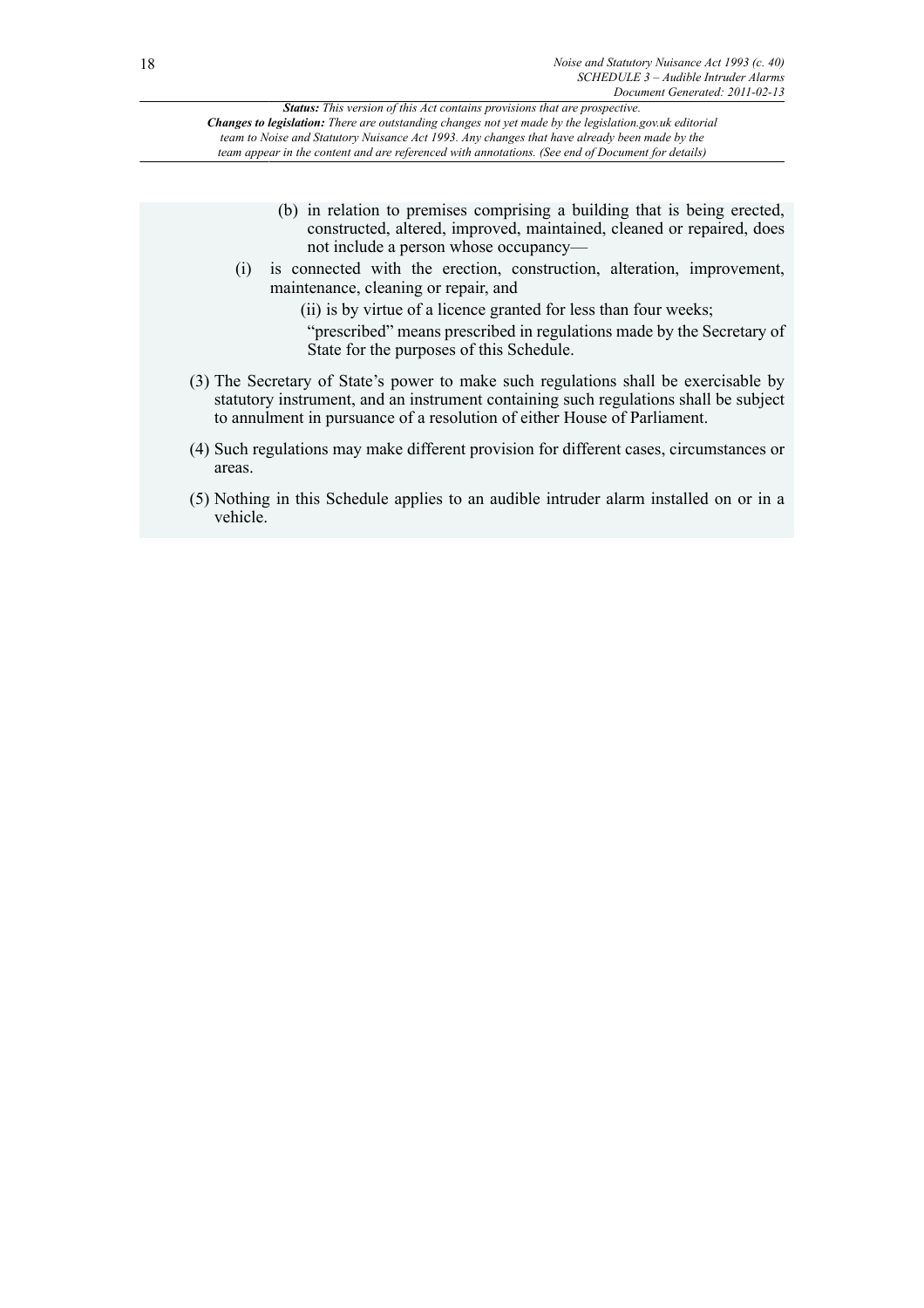

- (b) in relation to premises comprising a building that is being erected, constructed, altered, improved, maintained, cleaned or repaired, does not include a person whose occupancy—
- (i) is connected with the erection, construction, alteration, improvement, maintenance, cleaning or repair, and

(ii) is by virtue of a licence granted for less than four weeks;

"prescribed" means prescribed in regulations made by the Secretary of State for the purposes of this Schedule.

- (3) The Secretary of State's power to make such regulations shall be exercisable by statutory instrument, and an instrument containing such regulations shall be subject to annulment in pursuance of a resolution of either House of Parliament.
- (4) Such regulations may make different provision for different cases, circumstances or areas.
- (5) Nothing in this Schedule applies to an audible intruder alarm installed on or in a vehicle.